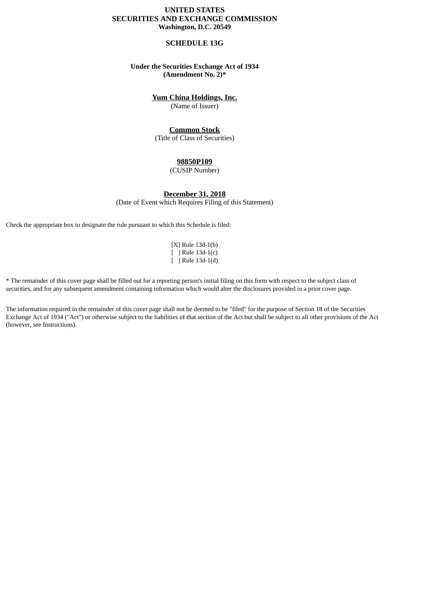## **UNITED STATES SECURITIES AND EXCHANGE COMMISSION Washington, D.C. 20549**

## **SCHEDULE 13G**

## **Under the Securities Exchange Act of 1934 (Amendment No. 2)\***

# **Yum China Holdings, Inc.**

(Name of Issuer)

# **Common Stock**

(Title of Class of Securities)

## **98850P109**

(CUSIP Number)

## **December 31, 2018**

(Date of Event which Requires Filing of this Statement)

Check the appropriate box to designate the rule pursuant to which this Schedule is filed:

[X] Rule 13d-1(b) [ ] Rule 13d-1(c) [ ] Rule 13d-1(d)

\* The remainder of this cover page shall be filled out for a reporting person's initial filing on this form with respect to the subject class of securities, and for any subsequent amendment containing information which would alter the disclosures provided in a prior cover page.

The information required in the remainder of this cover page shall not be deemed to be "filed" for the purpose of Section 18 of the Securities Exchange Act of 1934 ("Act") or otherwise subject to the liabilities of that section of the Act but shall be subject to all other provisions of the Act (however, see Instructions).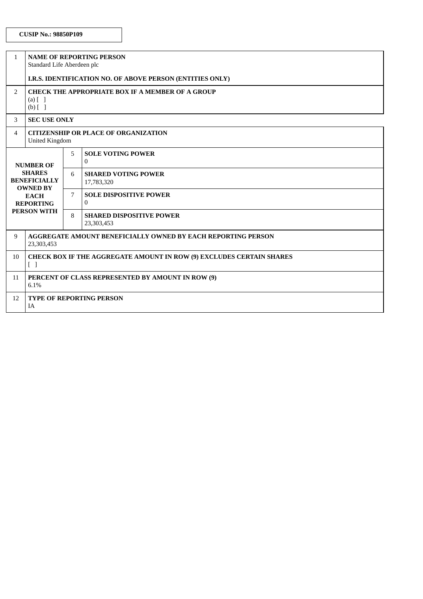| $\mathbf{1}$                                                                                                                         | <b>NAME OF REPORTING PERSON</b><br>Standard Life Aberdeen plc                                                    |   |                                               |
|--------------------------------------------------------------------------------------------------------------------------------------|------------------------------------------------------------------------------------------------------------------|---|-----------------------------------------------|
|                                                                                                                                      | I.R.S. IDENTIFICATION NO. OF ABOVE PERSON (ENTITIES ONLY)                                                        |   |                                               |
| 2                                                                                                                                    | <b>CHECK THE APPROPRIATE BOX IF A MEMBER OF A GROUP</b><br>$(a)$ $\begin{bmatrix} 1 \end{bmatrix}$<br>$(b)$ [ ]  |   |                                               |
| 3                                                                                                                                    | <b>SEC USE ONLY</b>                                                                                              |   |                                               |
| 4                                                                                                                                    | <b>CITIZENSHIP OR PLACE OF ORGANIZATION</b><br><b>United Kingdom</b>                                             |   |                                               |
| <b>NUMBER OF</b><br><b>SHARES</b><br><b>BENEFICIALLY</b><br><b>OWNED BY</b><br><b>EACH</b><br><b>REPORTING</b><br><b>PERSON WITH</b> |                                                                                                                  | 5 | <b>SOLE VOTING POWER</b><br>$\Omega$          |
|                                                                                                                                      |                                                                                                                  | 6 | <b>SHARED VOTING POWER</b><br>17,783,320      |
|                                                                                                                                      |                                                                                                                  | 7 | <b>SOLE DISPOSITIVE POWER</b><br>0            |
|                                                                                                                                      |                                                                                                                  | 8 | <b>SHARED DISPOSITIVE POWER</b><br>23,303,453 |
| 9                                                                                                                                    | AGGREGATE AMOUNT BENEFICIALLY OWNED BY EACH REPORTING PERSON<br>23,303,453                                       |   |                                               |
| 10                                                                                                                                   | <b>CHECK BOX IF THE AGGREGATE AMOUNT IN ROW (9) EXCLUDES CERTAIN SHARES</b><br>$\begin{bmatrix} 1 \end{bmatrix}$ |   |                                               |
| 11                                                                                                                                   | PERCENT OF CLASS REPRESENTED BY AMOUNT IN ROW (9)<br>6.1%                                                        |   |                                               |
| 12                                                                                                                                   | TYPE OF REPORTING PERSON<br>IA                                                                                   |   |                                               |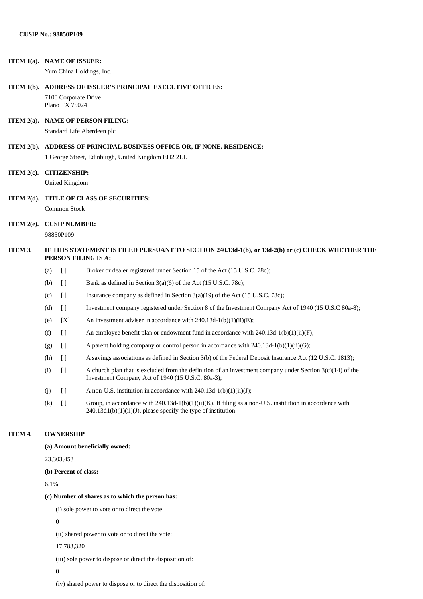#### **ITEM 1(a). NAME OF ISSUER:**

Yum China Holdings, Inc.

#### **ITEM 1(b). ADDRESS OF ISSUER'S PRINCIPAL EXECUTIVE OFFICES:**

7100 Corporate Drive Plano TX 75024

## **ITEM 2(a). NAME OF PERSON FILING:**

Standard Life Aberdeen plc

**ITEM 2(b). ADDRESS OF PRINCIPAL BUSINESS OFFICE OR, IF NONE, RESIDENCE:** 1 George Street, Edinburgh, United Kingdom EH2 2LL

## **ITEM 2(c). CITIZENSHIP:**

United Kingdom

## **ITEM 2(d). TITLE OF CLASS OF SECURITIES:**

Common Stock

## **ITEM 2(e). CUSIP NUMBER:**

98850P109

## ITEM 3. IF THIS STATEMENT IS FILED PURSUANT TO SECTION 240.13d-1(b), or 13d-2(b) or (c) CHECK WHETHER THE **PERSON FILING IS A:**

- (a) [ ] Broker or dealer registered under Section 15 of the Act (15 U.S.C. 78c);
- (b)  $\Box$  Bank as defined in Section 3(a)(6) of the Act (15 U.S.C. 78c);
- (c)  $\left[ \right]$  Insurance company as defined in Section 3(a)(19) of the Act (15 U.S.C. 78c);
- (d) [ ] Investment company registered under Section 8 of the Investment Company Act of 1940 (15 U.S.C 80a-8);
- (e)  $[X]$  An investment adviser in accordance with 240.13d-1(b)(1)(ii)(E);
- (f)  $\left[ \right]$  An employee benefit plan or endowment fund in accordance with 240.13d-1(b)(1)(ii)(F);
- (g)  $\begin{bmatrix} 1 \\ 4 \end{bmatrix}$  A parent holding company or control person in accordance with 240.13d-1(b)(1)(ii)(G);
- (h) [ ] A savings associations as defined in Section 3(b) of the Federal Deposit Insurance Act (12 U.S.C. 1813);
- (i)  $\left[ \ \right]$  A church plan that is excluded from the definition of an investment company under Section 3(c)(14) of the Investment Company Act of 1940 (15 U.S.C. 80a-3);
- (j)  $[$  ] A non-U.S. institution in accordance with 240.13d-1(b)(1)(ii)(J);
- (k)  $\lceil \cdot \rceil$  Group, in accordance with 240.13d-1(b)(1)(ii)(K). If filing as a non-U.S. institution in accordance with 240.13d1(b)(1)(ii)(J), please specify the type of institution:

#### **ITEM 4. OWNERSHIP**

**(a) Amount beneficially owned:**

23,303,453

#### **(b) Percent of class:**

6.1%

#### **(c) Number of shares as to which the person has:**

(i) sole power to vote or to direct the vote:

 $\Omega$ 

(ii) shared power to vote or to direct the vote:

17,783,320

(iii) sole power to dispose or direct the disposition of:

 $\Omega$ 

(iv) shared power to dispose or to direct the disposition of: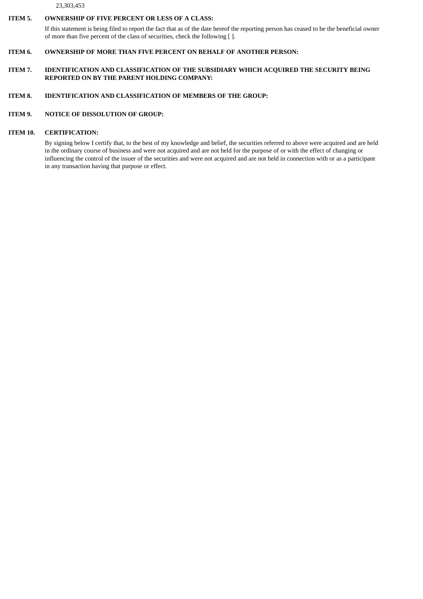23,303,453

### **ITEM 5. OWNERSHIP OF FIVE PERCENT OR LESS OF A CLASS:**

If this statement is being filed to report the fact that as of the date hereof the reporting person has ceased to be the beneficial owner of more than five percent of the class of securities, check the following [ ].

## **ITEM 6. OWNERSHIP OF MORE THAN FIVE PERCENT ON BEHALF OF ANOTHER PERSON:**

**ITEM 7. IDENTIFICATION AND CLASSIFICATION OF THE SUBSIDIARY WHICH ACQUIRED THE SECURITY BEING REPORTED ON BY THE PARENT HOLDING COMPANY:**

## **ITEM 8. IDENTIFICATION AND CLASSIFICATION OF MEMBERS OF THE GROUP:**

## **ITEM 9. NOTICE OF DISSOLUTION OF GROUP:**

### **ITEM 10. CERTIFICATION:**

By signing below I certify that, to the best of my knowledge and belief, the securities referred to above were acquired and are held in the ordinary course of business and were not acquired and are not held for the purpose of or with the effect of changing or influencing the control of the issuer of the securities and were not acquired and are not held in connection with or as a participant in any transaction having that purpose or effect.